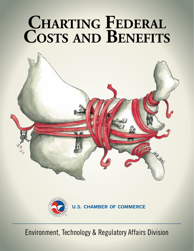# CHARTING FEDERAL **Costs and Benefits**





**U.S. CHAMBER OF COMMERCE** 

Environment, Technology & Regulatory Affairs Division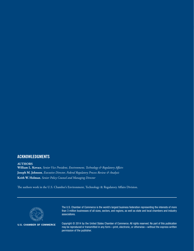#### ACKNOWLEDGMENTS

**AUTHORS**

**William L. Kovacs**, *Senior Vice President, Environment, Technology & Regulatory Affairs* **Joseph M. Johnson**, *Executive Director, Federal Regulatory Process Review & Analysis* **Keith W. Holman**, *Senior Policy Counsel and Managing Director*

The authors work in the U.S. Chamber's Environment, Technology & Regulatory Affairs Division.



**U.S. CHAMBER OF COMMERCE** 

The U.S. Chamber of Commerce is the world's largest business federation representing the interests of more than 3 million businesses of all sizes, sectors, and regions, as well as state and local chambers and industry associations.

Copyright © 2014 by the United States Chamber of Commerce. All rights reserved. No part of this publication may be reproduced or transmitted in any form—print, electronic, or otherwise—without the express written permission of the publisher.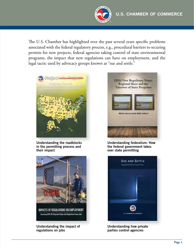The U.S. Chamber has highlighted over the past several years specific problems associated with the federal regulatory process, e.g., procedural barriers to securing permits for new projects, federal agencies taking control of state environmental programs, the impact that new regulations can have on employment, and the legal tactic used by advocacy groups known as "sue and settle."



Understanding the roadblocks in the permitting process and their impact



Examining EPA's Oft-Repeated Claims that Regulations Create John

Understanding the impact of regulations on jobs



Understanding federalism: How the federal government takes over state permitting



Understanding how private parties control agencies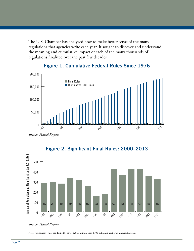The U.S. Chamber has analyzed how to make better sense of the many regulations that agencies write each year. It sought to discover and understand the meaning and cumulative impact of each of the many thousands of regulations finalized over the past few decades.



#### Figure 1. Cumulative Federal Rules Since 1976

Source: *Federal Register*



## Figure 2. Significant Final Rules: 2000–2013

Note: "Significant" rules are defined by E.O. 12866 as more than \$100 million in cost or of a novel character.

Source: *Federal Register*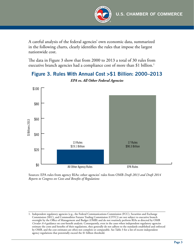

A careful analysis of the federal agencies' own economic data, summarized in the following charts, clearly identifies the rules that impose the largest nationwide cost.

The data in Figure 3 show that from 2000 to 2013 a total of 30 rules from executive branch agencies had a compliance cost of more than \$1 billion.<sup>1</sup>

# Figure 3. Rules With Annual Cost >\$1 Billion: 2000–2013



*EPA vs. All Other Federal Agencies*

Sources: EPA rules from agency RIAs: other agencies' rules from OMB *Draft 2013 and Draft 2014 Reports to Congress on Costs and Benefits of Regulations*

<sup>1.</sup> Independent regulatory agencies (e.g., the Federal Communications Commission (FCC), Securities and Exchange Commission (SEC), and Commodities Futures Trading Commission (CFTC)) are not subject to executive branch oversight by the Office of Management and Budget (OMB) and do not routinely perform RIAs as directed by OMB *Circular A-4* guidance on cost-benefit analysis. Consequently, even in the cases when independent regulatory agencies estimate the costs and benefits of their regulations, they generally do not adhere to the standards established and enforced \$40 by OMB, and the cost estimates are often not complete or comparable. See Table 3 for a list of recent independent agency regulations that potentially exceed the \$1 billion threshold.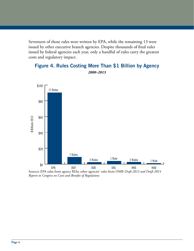Seventeen of those rules were written by EPA, while the remaining 13 were issued by other executive branch agencies. Despite thousands of final rules issued by federal agencies each year, only a handful of rules carry the greatest costs and regulatory impact.



# Figure 4. Rules Costing More Than \$1 Billion by Agency

Sources: EPA rules from agency RIAs; other agencies' rules from OMB *Draft 2013 and Draft 2014 Reports to Congress on Costs and Benefits of Regulations*

*2000–2013*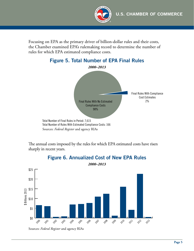

Focusing on EPA as the primary driver of billion-dollar rules and their costs, the Chamber examined EPA's rulemaking record to determine the number of rules for which EPA estimated compliance costs.



Figure 5. Total Number of EPA Final Rules

The annual costs imposed by the rules for which EPA estimated costs have risen sharply in recent years.



## Figure 6. Annualized Cost of New EPA Rules

Sources: *Federal Register* and agency RIAs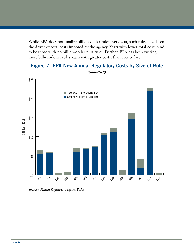While EPA does not finalize billion-dollar rules every year, such rules have been the driver of total costs imposed by the agency. Years with lower total costs tend to be those with no billion-dollar plus rules. Further, EPA has been writing more billion-dollar rules, each with greater costs, than ever before.



Figure 7. EPA New Annual Regulatory Costs by Size of Rule

Sources: *Federal Register* and agency RIAs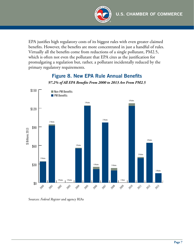

EPA justifies high regulatory costs of its biggest rules with even greater claimed benefits. However, the benefits are more concentrated in just a handful of rules. Virtually all the benefits come from reductions of a single pollutant, PM2.5, which is often not even the pollutant that EPA cites as the justification for promulgating a regulation but, rather, a pollutant incidentally reduced by the primary regulatory requirements.

### Figure 8. New EPA Rule Annual Benefits *97.2% of All EPA Benefits From 2000 to 2013 Are From PM2.5*

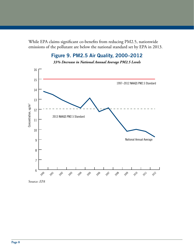While EPA claims significant co-benefits from reducing PM2.5, nationwide emissions of the pollutant are below the national standard set by EPA in 2013.

# Figure 9. PM2.5 Air Quality, 2000–2012

*33% Decrease in National Annual Average PM2.5 Levels*



Source: *EPA*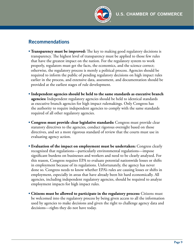

## Recommendations

- **Transparency must be improved:** The key to making good regulatory decisions is transparency. The highest level of transparency must be applied to those few rules that have the greatest impact on the nation. For the regulatory system to work properly, regulators must get the facts, the economics, and the science correct; otherwise, the regulatory process is merely a political process. Agencies should be required to inform the public of pending regulatory decisions on high impact rules earlier in the process, and extensive data, assessment, and documentation should be provided at the earliest stages of rule development.
- **Independent agencies should be held to the same standards as executive branch agencies:** Independent regulatory agencies should be held to identical standards as executive branch agencies for high impact rulemakings. Only Congress has the authority to require independent agencies to comply with the same standards required of all other regulatory agencies.
- **Congress must provide clear legislative standards:** Congress must provide clear statutory directives to the agencies, conduct rigorous oversight based on those directives, and set a more rigorous standard of review that the courts must use in evaluating agency action.
- **Evaluation of the impact on employment must be undertaken:** Congress clearly recognized that regulations—particularly environmental regulations—impose significant burdens on businesses and workers and need to be clearly analyzed. For this reason, Congress requires EPA to evaluate potential nationwide losses or shifts in employment because of its regulations. Unfortunately, the agency has never done so. Congress needs to know whether EPA's rules are causing losses or shifts in employment, especially in areas that have already been hit hard economically. All agencies, including independent regulatory agencies, should be required to analyze employment impacts for high impact rules.
- **Citizens must be allowed to participate in the regulatory process:** Citizens must be welcomed into the regulatory process by being given access to all the information used by agencies to make decisions and given the right to challenge agency data and decisions—rights they do not have today.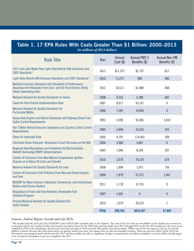#### Table 1. 17 EPA Rules With Costs Greater Than \$1 Billion: 2000–2013 *(in millions of 2013 dollars)*

| <b>Rule Title</b>                                                                                                                                                | Year         | Annual<br>$Cost$ (\$) | Annual PM2.5<br>Benefits (\$) | <b>Annual Non-PM</b><br>Benefits (\$) |  |
|------------------------------------------------------------------------------------------------------------------------------------------------------------------|--------------|-----------------------|-------------------------------|---------------------------------------|--|
| 2017 and Later Model Year Light-Duty Vehicle GHG Emissions and<br>CAFE Standards*                                                                                | 2012         | \$11,372              | \$1,737                       | \$17                                  |  |
| Light-Duty Vehicle GHG Emission Standards and CAFE Standards*                                                                                                    | 2010         | 11,277                | 909                           | 985                                   |  |
| National Emission Standards and Standards of Performance:<br>Hazardous Air Pollutants From Coal- and Oil-Fired Electric Utility<br><b>Steam Generating Units</b> | 2012         | 10,511                | 61,860                        | 400                                   |  |
| National Ambient Air Quality Standards for Ozone                                                                                                                 | 2008         | 9,216                 | 5,788                         | 697                                   |  |
| <b>Clean Air Fine Particle Implementation Rule</b>                                                                                                               | 2007         | 8,917                 | 93,167                        | 0                                     |  |
| National Ambient Air Quality Standards for<br><b>Particulate Matter</b>                                                                                          | 2006         | 7,187                 | 19,964                        | $\bf{0}$                              |  |
| Heavy-Duty Engine and Vehicle Standards and Highway Diesel Fuel<br><b>Sulfur Control Requirements</b>                                                            | 2001         | 5,590                 | 91,836                        | 1,810                                 |  |
| Tier 2 Motor Vehicle Emission Standards and Gasoline Sulfur Control<br><b>Requirements</b>                                                                       | 2000         | 5,458                 | 33,433                        | 355                                   |  |
| Clean Air Interstate Rule                                                                                                                                        | 2005         | 4,791                 | 114,463                       | 399                                   |  |
| Interstate Ozone Transport: Response to Court Decisions on the NOx                                                                                               | 2004         | 3,968                 | 3,687                         | $\bf{0}$                              |  |
| Regional Haze Regulations and Guidelines for Best Available<br><b>Retrofit Technology (BART) Determinations</b>                                                  | 2005         | 1,966                 | 8,538                         | 307                                   |  |
| <b>Control of Emissions From New Marine Compression-Ignition</b><br>Engines at or Above 30 Liters per Cylinder                                                   | 2010         | 2,079                 | 79,124                        | 674                                   |  |
| National Ambient Air Quality Standards for Lead                                                                                                                  | 2008         | 1,894                 | 1,073                         | 736                                   |  |
| Control of Emissions of Air Pollution From Nonroad Diesel Engines<br>and Fuel                                                                                    | 2004         | 1,879                 | 51,371                        | 1,301                                 |  |
| NESHAP for Major Sources: Industrial, Commercial, and Institutional<br><b>Boilers and Process Heaters</b>                                                        | 2011         | 1,718                 | 37,315                        | 0                                     |  |
| Regulation of Fuels and Fuel Additives: Renewable Fuel<br><b>Standard Program</b>                                                                                | 2007         | 1,442                 | $\bf{0}$                      | $\bf{0}$                              |  |
| Primary National Ambient Air Quality Standard for<br><b>Sulfur Dioxide</b>                                                                                       | 2010         | 1,079                 | 29,222                        | $\overline{2}$                        |  |
|                                                                                                                                                                  | <b>TOTAL</b> | \$90,344              | \$633,487                     | \$7,683                               |  |

#### Sources: *Federal Register* records and rule RIAs

\* We include both the 2010 and 2012 EPA/DOT joint GHG/CAFE standards rules in the database. The costs of the two rules are not additive as the model years covered are consecutive and do not overlap. Further, the annual costs shown above for the 2010 rule covering model years 2012 through 2016 are for the 2014 model year, the most recent modeled by EPA in the rulemaking. Annual costs from this rule peak in 2016 at nearly 50% greater than shown above. While costs of the two separate rules are not strictly additive as shown (because the costs shown above are specific model year costs), the annual costs are also not mutually exclusive. There are carryover effects of the 2010 rule that impose costs going forward, and because the 2017 and later model year rule is a significant change in requirements, annualized compliance costs have likely already begun to be accrued by automakers to get into compliance for 2017.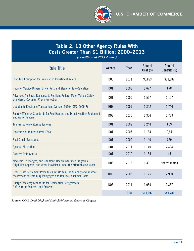

# Table 2. 13 Other Agency Rules With Costs Greater Than \$1 Billion: 2000–2013

*(in millions of 2013 dollars)*

| <b>Rule Title</b>                                                                                                                          | Agency           | Year         | Annual<br>$Cost($ \$) | Annual<br>Benefits (\$) |
|--------------------------------------------------------------------------------------------------------------------------------------------|------------------|--------------|-----------------------|-------------------------|
| <b>Statutory Exemption for Provision of Investment Advice</b>                                                                              | DOL              | 2011         | \$3,893               | \$13,887                |
| Hours of Service Drivers; Driver Rest and Sleep for Safe Operation                                                                         | DOT              | 2003         | 1,677                 | 878                     |
| Advanced Air Bags: Response to Petitions Federal Motor Vehicle Safety<br><b>Standards</b> ; Occupant Crash Protection                      | DOT              | 2000         | 1,527                 | 1,107                   |
| Updates to Electronic Transactions (Version 5010) (CMS-0009-F)                                                                             | <b>HHS</b>       | 2009         | 1,342                 | 2,740                   |
| Energy Efficiency Standards for Pool Heaters and Direct Heating Equipment<br>and Water Heaters                                             | DOE              | 2010         | 1,306                 | 1,763                   |
| <b>Tire Pressure Monitoring Systems</b>                                                                                                    | DOT              | 2002         | 1,244                 | 859                     |
| <b>Electronic Stability Control (ESC)</b>                                                                                                  | D <sub>0</sub> T | 2007         | 1,164                 | 10,941                  |
| <b>Roof Crush Resistance</b>                                                                                                               | DOT              | 2009         | 1,140                 | 829                     |
| <b>Ejection Mitigation</b>                                                                                                                 | D <sub>0</sub> T | 2011         | 1,140                 | 2,464                   |
| <b>Positive Train Control</b>                                                                                                              | DOT              | 2010         | 1,135                 | 45                      |
| Medicaid, Exchanges, and Children's Health Insurance Programs:<br>Eligibility, Appeals, and Other Provisions Under the Affordable Care Act | <b>HHS</b>       | 2013         | 1,331                 | Not estimated           |
| Real Estate Settlement Procedures Act (RESPA); To Simplify and Improve<br>the Process of Obtaining Mortgages and Reduce Consumer Costs     | <b>HUD</b>       | 2008         | 1,125                 | 2,930                   |
| Energy Efficiency Standards for Residential Refrigerators,<br>Refrigerator-Freezers, and Freezers                                          | DOE              | 2011         | 1,069                 | 2,337                   |
|                                                                                                                                            |                  | <b>TOTAL</b> | \$19,093              | \$40,780                |

Sources: OMB *Draft 2013 and Draft 2014 Annual Reports to Congress*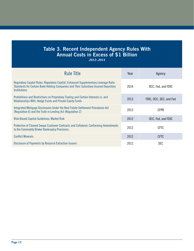# Table 3. Recent Independent Agency Rules With Annual Costs in Excess of \$1 Billion

*2012–2014*

| <b>Rule Title</b>                                                                                                                                                                                  |      | Agency                  |  |
|----------------------------------------------------------------------------------------------------------------------------------------------------------------------------------------------------|------|-------------------------|--|
| Regulatory Capital Rules: Regulatory Capital, Enhanced Supplementary Leverage Ratio<br>Standards for Certain Bank Holding Companies and Their Subsidiary Insured Depository<br><b>Institutions</b> | 2014 | OCC, Fed, and FDIC      |  |
| Prohibitions and Restrictions on Proprietary Trading and Certain Interests in, and<br>Relationships With, Hedge Funds and Private Equity Funds                                                     | 2013 | FDIC, OCC, SEC, and Fed |  |
| Integrated Mortgage Disclosures Under the Real Estate Settlement Procedures Act<br>(Regulation X) and the Truth in Lending Act (Regulation Z)                                                      |      | <b>CFPB</b>             |  |
| <b>Risk-Based Capital Guidelines: Market Risk</b>                                                                                                                                                  | 2012 | OCC, Fed, and FDIC      |  |
| Protection of Cleared Swaps Customer Contracts and Collateral; Conforming Amendments<br>to the Commodity Broker Bankruptcy Provisions                                                              | 2012 | <b>CFTC</b>             |  |
| <b>Conflict Minerals</b>                                                                                                                                                                           | 2012 | <b>CFTC</b>             |  |
| Disclosure of Payments by Resource Extraction Issuers                                                                                                                                              | 2012 | <b>SEC</b>              |  |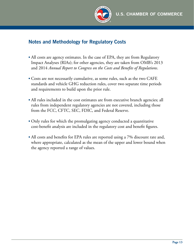

# Notes and Methodology for Regulatory Costs

- All costs are agency estimates. In the case of EPA, they are from Regulatory Impact Analyses (RIAs); for other agencies, they are taken from OMB's 2013 and 2014 *Annual Report to Congress on the Costs and Benefits of Regulations*.
- Costs are not necessarily cumulative, as some rules, such as the two CAFE standards and vehicle GHG reduction rules, cover two separate time periods and requirements to build upon the prior rule.
- All rules included in the cost estimates are from executive branch agencies; all rules from independent regulatory agencies are not covered, including those from the FCC, CFTC, SEC, FDIC, and Federal Reserve.
- Only rules for which the promulgating agency conducted a quantitative cost-benefit analysis are included in the regulatory cost and benefit figures.
- All costs and benefits for EPA rules are reported using a 7% discount rate and, where appropriate, calculated as the mean of the upper and lower bound when the agency reported a range of values.